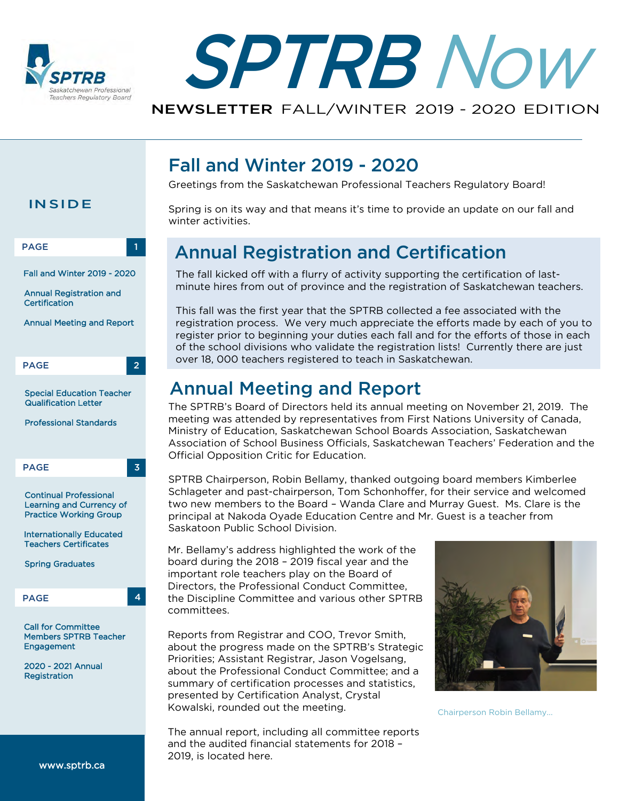



# Fall and Winter 2019 - 2020

Annual Meeting and Report

Mr. Bellamy's address highlighted the work of the board during the 2018 – 2019 fiscal year and the important role teachers play on the Board of Directors, the Professional Conduct Committee, the Discipline Committee and various other SPTRB

over 18, 000 teachers registered to teach in Saskatchewan.

Official Opposition Critic for Education.

Saskatoon Public School Division.

winter activities.

Greetings from the Saskatchewan Professional Teachers Regulatory Board!

Annual Registration and Certification

Spring is on its way and that means it's time to provide an update on our fall and

The fall kicked off with a flurry of activity supporting the certification of lastminute hires from out of province and the registration of Saskatchewan teachers.

This fall was the first year that the SPTRB collected a fee associated with the

registration process. We very much appreciate the efforts made by each of you to register prior to beginning your duties each fall and for the efforts of those in each of the school divisions who validate the registration lists! Currently there are just

The SPTRB's Board of Directors held its annual meeting on November 21, 2019. The meeting was attended by representatives from First Nations University of Canada, Ministry of Education, Saskatchewan School Boards Association, Saskatchewan Association of School Business Officials, Saskatchewan Teachers' Federation and the

SPTRB Chairperson, Robin Bellamy, thanked outgoing board members Kimberlee Schlageter and past-chairperson, Tom Schonhoffer, for their service and welcomed two new members to the Board – Wanda Clare and Murray Guest. Ms. Clare is the principal at Nakoda Oyade Education C[entre](https://www.sptrb.ca/web/SPTRB/About_Us/Annual_Report/SPTRB/About_Us/Annual_Report.aspx?hkey=c333bf05-98e7-48a3-a653-29362b16d46e) and Mr. Guest is a teacher from

#### **INSIDE**

PAGE 1

Fall and Winter 2019 - 2020

Annual Registration and **Certification** 

Annual Meeting and Report



Special Education Teacher Qualification Letter

Professional Standards



Continual Professional Learning and Currency of Practice Working Group

Internationally Educated Teachers Certificates

Spring Graduates

PAGE 4

Call for Committee Members SPTRB Teacher **Engagement** 

2020 - 2021 Annual **Registration** 

Reports from Registrar and COO, Trevor Smith, about the progress made on the SPTRB's Strategic Priorities; Assistant Registrar, Jason Vogelsang, about the Professional Conduct Committee; and a summary of certification processes and statistics,

committees.



Chairperson Robin Bellamy...

The annual report, including all committee reports and the audited financial statements for 2018 – 2019, is located here.

presented by Certification Analyst, Crystal

Kowalski, rounded out the meeting.

[www.sptrb.ca](http://www.sptrb.ca/)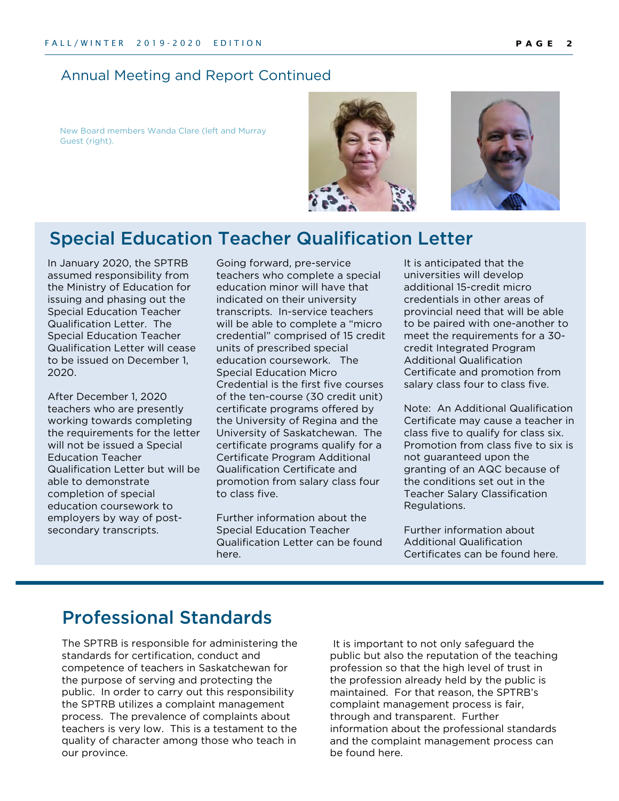#### Annual Meeting and Report Continued

New Board members Wanda Clare (left and Murray Guest (right).





# Special Education Teacher Qualification Letter

In January 2020, the SPTRB assumed responsibility from the Ministry of Education for issuing and phasing out the Special Education Teacher Qualification Letter. The Special Education Teacher Qualification Letter will cease to be issued on December 1, 2020.

After December 1, 2020 teachers who are presently working towards completing the requirements for the letter will not be issued a Special Education Teacher Qualification Letter but will be able to demonstrate completion of special education coursework to employers by way of postsecondary transcripts.

Going forward, pre-service teachers who complete a special education minor will have that indicated on their university transcripts. In-service teachers will be able to complete a "micro credential" comprised of 15 credit units of prescribed special education coursework. The Special Education Micro Credential is the first five courses of the ten-course (30 credit unit) certificate programs offered by the University of Regina and the University of Saskatchewan. The certificate programs qualify for a Certificate Program Additional Qualification Certificate and promotion from salary class four to class five.

Further information about the Special Education Teacher Qualification Letter can be found here.

It is anticipated that the universities will develop additional 15-credit micro credentials in other areas of provincial need that will be able to be paired with one-another to meet the requirements for a 30 credit Integrated Program Additional Qualification Certificate and promotion from salary class four to class five.

Note: An Additional Qualification Certificate may cause a teacher in class five to qualify for class six. Promotion from class five to six is not guaranteed upon the granting of an AQC because of the conditions set out in the Teacher Salary Classification Regulations.

Further information about Additional Qualification Certificates can be found here.

### Professional Standards

The SPTRB is responsible for administering the standards for certification, conduct and competence of teachers in Saskatchewan for the purpose of serving and protecting the public. In order to carry out this responsibility the SPTRB utilizes a complaint management process. The prevalence of complaints about teachers is very low. This is a testament to the quality of character among those who teach in our province.

 It is important to not only safeguard the public but also the reputation of the teaching profession so that the high level of trust in the profession already held by the public is maintained. For that reason, the SPTRB's complaint management process is fair, through and transparent. Further information about the professional standards and the complaint management process can be found here.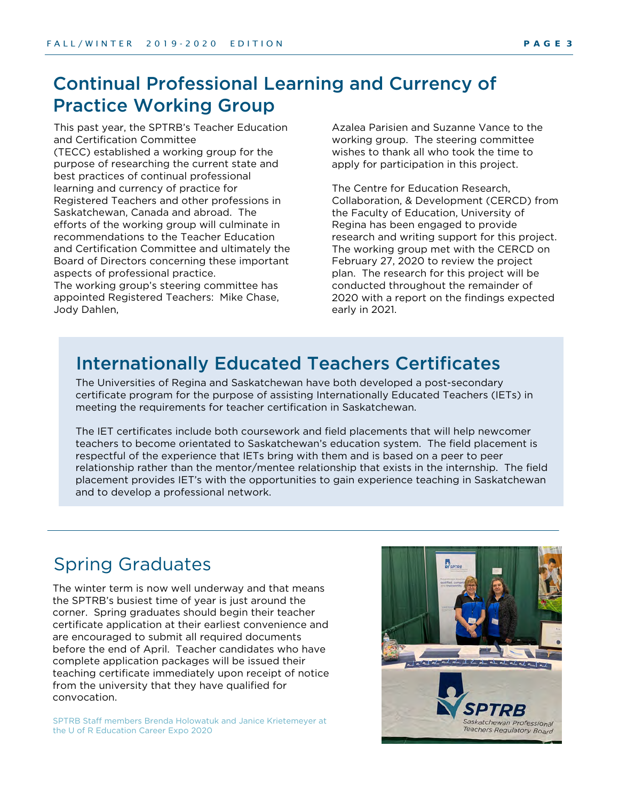# Continual Professional Learning and Currency of Practice Working Group

This past year, the SPTRB's Teacher Education and Certification Committee (TECC) established a working group for the purpose of researching the current state and best practices of continual professional learning and currency of practice for Registered Teachers and other professions in Saskatchewan, Canada and abroad. The efforts of the working group will culminate in recommendations to the Teacher Education and Certification Committee and ultimately the Board of Directors concerning these important aspects of professional practice.

The working group's steering committee has appointed Registered Teachers: Mike Chase, Jody Dahlen,

Azalea Parisien and Suzanne Vance to the working group. The steering committee wishes to thank all who took the time to apply for participation in this project.

The Centre for Education Research, Collaboration, & Development (CERCD) from the Faculty of Education, University of Regina has been engaged to provide research and writing support for this project. The working group met with the CERCD on February 27, 2020 to review the project plan. The research for this project will be conducted throughout the remainder of 2020 with a report on the findings expected early in 2021.

### Internationally Educated Teachers Certificates

The Universities of Regina and Saskatchewan have both developed a post-secondary certificate program for the purpose of assisting Internationally Educated Teachers (IETs) in meeting the requirements for teacher certification in Saskatchewan.

The IET certificates include both coursework and field placements that will help newcomer teachers to become orientated to Saskatchewan's education system. The field placement is respectful of the experience that IETs bring with them and is based on a peer to peer relationship rather than the mentor/mentee relationship that exists in the internship. The field placement provides IET's with the opportunities to gain experience teaching in Saskatchewan and to develop a professional network.

# Spring Graduates

The winter term is now well underway and that means the SPTRB's busiest time of year is just around the corner. Spring graduates should begin their teacher certificate application at their earliest convenience and are encouraged to submit all required documents before the end of April. Teacher candidates who have complete application packages will be issued their teaching certificate immediately upon receipt of notice from the university that they have qualified for convocation.

SPTRB Staff members Brenda Holowatuk and Janice Krietemeyer at the U of R Education Career Expo 2020